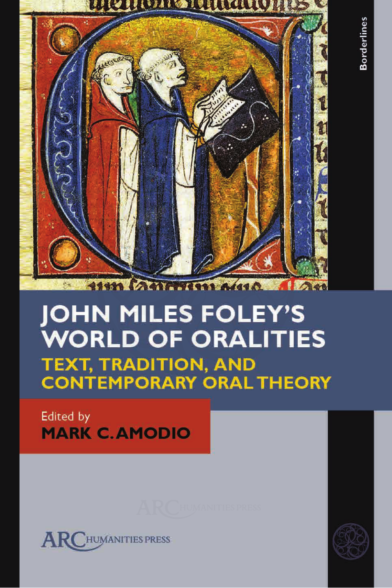

# **JOHN MILES FOLEY'S WORLD OF ORALITIES** TEXT, TRADITION, AND<br>CONTEMPORARY ORAL THEORY

Edited by **MARK C. AMODIO** 

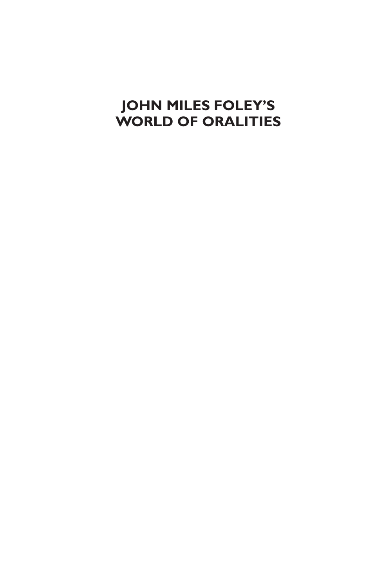# **JOHN MILES FOLEY'S WORLD OF ORALITIES**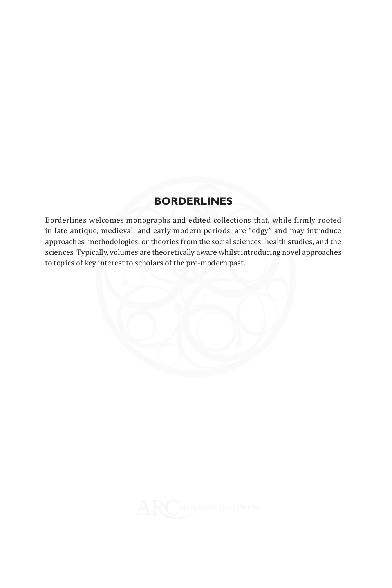#### **BORDERLINES**

Borderlines welcomes monographs and edited collections that, while firmly rooted in late antique, medieval, and early modern periods, are "edgy" and may introduce approaches, methodologies, or theories from the social sciences, health studies, and the sciences. Typically, volumes are theoretically aware whilst introducing novel approaches to topics of key interest to scholars of the pre-modern past.



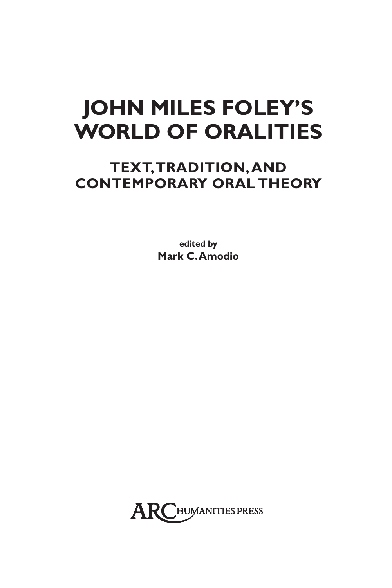# **JOHN MILES FOLEY'S WORLD OF ORALITIES**

# **TEXT, TRADITION, AND CONTEMPORARY ORAL THEORY**

**edited by Mark C. Amodio**

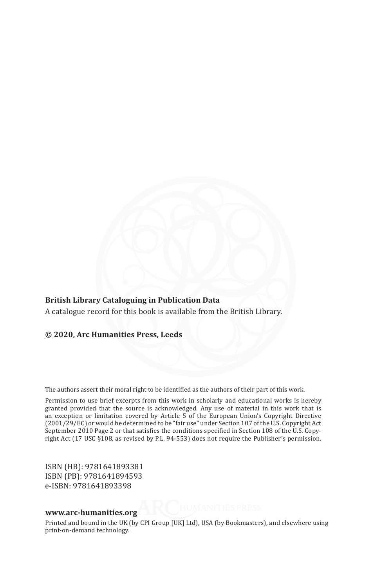#### **British Library Cataloguing in Publication Data**

A catalogue record for this book is available from the British Library.

#### **© 2020, Arc Humanities Press, Leeds**

The authors assert their moral right to be identified as the authors of their part of this work.

Permission to use brief excerpts from this work in scholarly and educational works is hereby granted provided that the source is acknowledged. Any use of material in this work that is an exception or limitation covered by Article 5 of the European Union's Copyright Directive (2001/29/EC) or would be determined to be "fair use" under Section 107 of the U.S. Copyright Act September 2010 Page 2 or that satisfies the conditions specified in Section 108 of the U.S. Copyright Act (17 USC §108, as revised by P.L. 94-553) does not require the Publisher's permission.

ISBN (HB): 9781641893381 ISBN (PB): 9781641894593 e-ISBN: 9781641893398

#### **www.arc-humanities.org**

Printed and bound in the UK (by CPI Group [UK] Ltd), USA (by Bookmasters), and elsewhere using print-on-demand technology.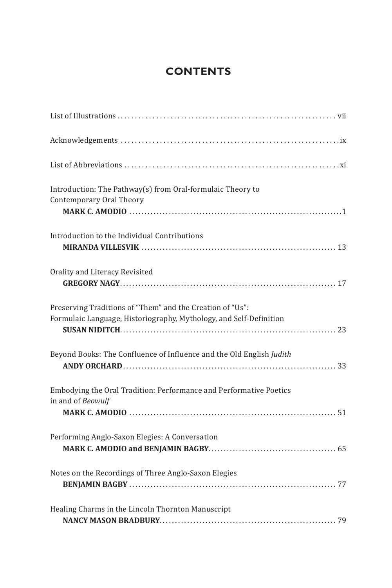#### **CONTENTS**

| Introduction: The Pathway(s) from Oral-formulaic Theory to<br>Contemporary Oral Theory                                          |
|---------------------------------------------------------------------------------------------------------------------------------|
| Introduction to the Individual Contributions                                                                                    |
| Orality and Literacy Revisited                                                                                                  |
| Preserving Traditions of "Them" and the Creation of "Us":<br>Formulaic Language, Historiography, Mythology, and Self-Definition |
| Beyond Books: The Confluence of Influence and the Old English Judith                                                            |
| Embodying the Oral Tradition: Performance and Performative Poetics<br>in and of Beowulf                                         |
| Performing Anglo-Saxon Elegies: A Conversation                                                                                  |
| Notes on the Recordings of Three Anglo-Saxon Elegies                                                                            |
| Healing Charms in the Lincoln Thornton Manuscript                                                                               |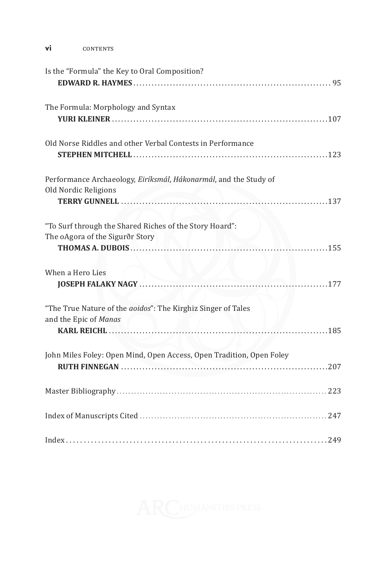| Is the "Formula" the Key to Oral Composition?                                                                                  |  |
|--------------------------------------------------------------------------------------------------------------------------------|--|
| The Formula: Morphology and Syntax                                                                                             |  |
| Old Norse Riddles and other Verbal Contests in Performance                                                                     |  |
| Performance Archaeology, Eiríksmál, Hákonarmál, and the Study of<br>Old Nordic Religions<br>TERRY GUNNELL NEWSFILM CONTROL 237 |  |
| "To Surf through the Shared Riches of the Story Hoard":<br>The oAgora of the Sigurðr Story                                     |  |
| When a Hero Lies<br><b>JOSEPH FALAKY NAGY</b>                                                                                  |  |
| "The True Nature of the aoidos": The Kirghiz Singer of Tales<br>and the Epic of Manas                                          |  |
| John Miles Foley: Open Mind, Open Access, Open Tradition, Open Foley                                                           |  |
|                                                                                                                                |  |
|                                                                                                                                |  |
|                                                                                                                                |  |

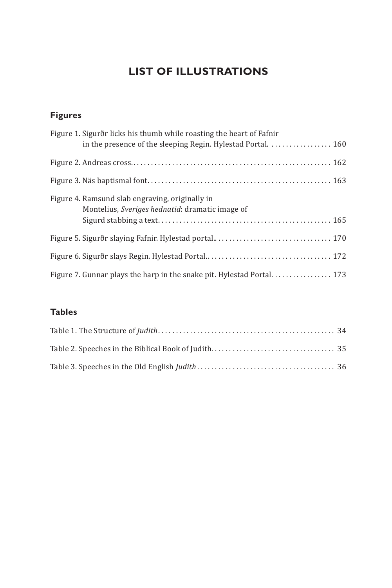# **LIST OF ILLUSTRATIONS**

### **Figures**

| Figure 1. Sigurðr licks his thumb while roasting the heart of Fafnir<br>in the presence of the sleeping Regin. Hylestad Portal.  160 |
|--------------------------------------------------------------------------------------------------------------------------------------|
|                                                                                                                                      |
|                                                                                                                                      |
| Figure 4. Ramsund slab engraving, originally in<br>Montelius, <i>Sveriges hednatid</i> : dramatic image of                           |
|                                                                                                                                      |
|                                                                                                                                      |
|                                                                                                                                      |

#### **Tables**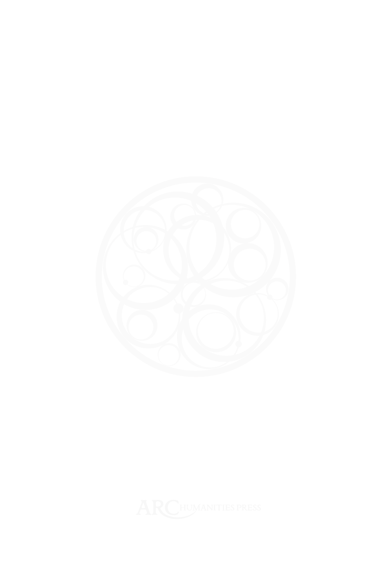

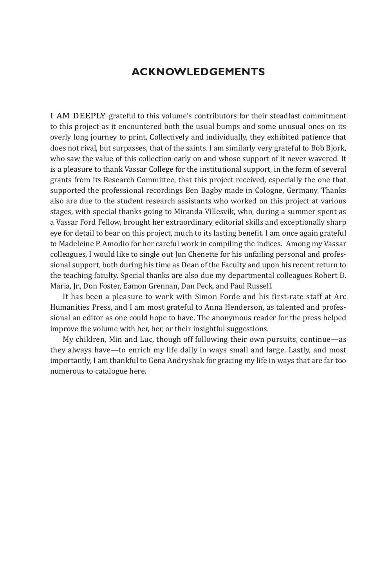#### **ACKNOWLEDGEMENTS**

I AM DEEPLY grateful to this volume's contributors for their steadfast commitment to this project as it encountered both the usual bumps and some unusual ones on its overly long journey to print. Collectively and individually, they exhibited patience that does not rival, but surpasses, that of the saints. I am similarly very grateful to Bob Bjork, who saw the value of this collection early on and whose support of it never wavered. It is a pleasure to thank Vassar College for the institutional support, in the form of several grants from its Research Committee, that this project received, especially the one that supported the professional recordings Ben Bagby made in Cologne, Germany. Thanks also are due to the student research assistants who worked on this project at various stages, with special thanks going to Miranda Villesvik, who, during a summer spent as a Vassar Ford Fellow, brought her extraordinary editorial skills and exceptionally sharp eye for detail to bear on this project, much to its lasting benefit. I am once again grateful to Madeleine P. Amodio for her careful work in compiling the indices. Among my Vassar colleagues, I would like to single out Jon Chenette for his unfailing personal and professional support, both during his time as Dean of the Faculty and upon his recent return to the teaching faculty. Special thanks are also due my departmental colleagues Robert D. Maria, Jr., Don Foster, Eamon Grennan, Dan Peck, and Paul Russell.

It has been a pleasure to work with Simon Forde and his first-rate staff at Arc Humanities Press, and I am most grateful to Anna Henderson, as talented and professional an editor as one could hope to have. The anonymous reader for the press helped improve the volume with her, her, or their insightful suggestions.

My children, Min and Luc, though off following their own pursuits, continue—as they always have—to enrich my life daily in ways small and large. Lastly, and most importantly, I am thankful to Gena Andryshak for gracing my life in ways that are far too numerous to catalogue here.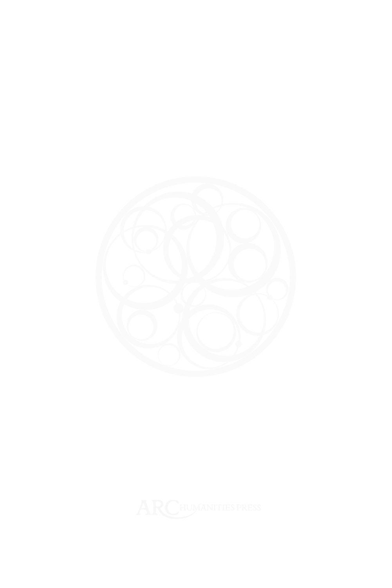

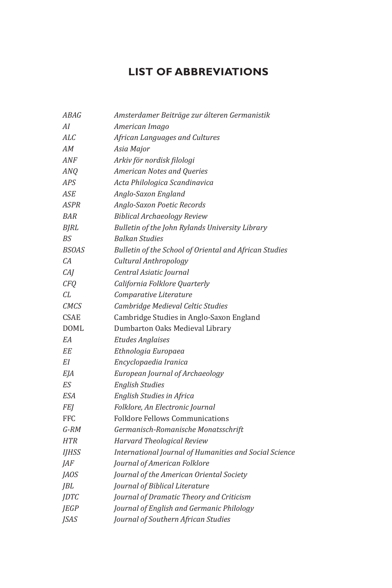# **LIST OF ABBREVIATIONS**

| ABAG         | Amsterdamer Beiträge zur álteren Germanistik           |
|--------------|--------------------------------------------------------|
| AI           | American Imago                                         |
| ALC          | African Languages and Cultures                         |
| AМ           | Asia Major                                             |
| ANF          | Arkiv för nordisk filologi                             |
| ANQ          | <b>American Notes and Queries</b>                      |
| APS          | Acta Philologica Scandinavica                          |
| ASE          | Anglo-Saxon England                                    |
| ASPR         | Anglo-Saxon Poetic Records                             |
| BAR          | <b>Biblical Archaeology Review</b>                     |
| <b>BJRL</b>  | Bulletin of the John Rylands University Library        |
| <b>BS</b>    | Balkan Studies                                         |
| <b>BSOAS</b> | Bulletin of the School of Oriental and African Studies |
| CА           | Cultural Anthropology                                  |
| CAI          | Central Asiatic Journal                                |
| <i>CFQ</i>   | California Folklore Quarterly                          |
| СL           | Comparative Literature                                 |
| CMCS         | Cambridge Medieval Celtic Studies                      |
| <b>CSAE</b>  | Cambridge Studies in Anglo-Saxon England               |
| <b>DOML</b>  | Dumbarton Oaks Medieval Library                        |
| EА           | Etudes Anglaises                                       |
| EЕ           | Ethnologia Europaea                                    |
| ΕI           | Encyclopaedia Iranica                                  |
| EJA          | European Journal of Archaeology                        |
| ES           | <b>English Studies</b>                                 |
| ESA          | English Studies in Africa                              |
| <i>FEJ</i>   | Folklore, An Electronic Journal                        |
| FFC          | <b>Folklore Fellows Communications</b>                 |
| $G$ -RM      | Germanisch-Romanische Monatsschrift                    |
| <b>HTR</b>   | Harvard Theological Review                             |
| <b>IJHSS</b> | International Journal of Humanities and Social Science |
| <i>JAF</i>   | Journal of American Folklore                           |
| JAOS         | Journal of the American Oriental Society               |
| <i>JBL</i>   | Journal of Biblical Literature                         |
| <i>JDTC</i>  | Journal of Dramatic Theory and Criticism               |
| <b>JEGP</b>  | Journal of English and Germanic Philology              |
| <b>JSAS</b>  | Journal of Southern African Studies                    |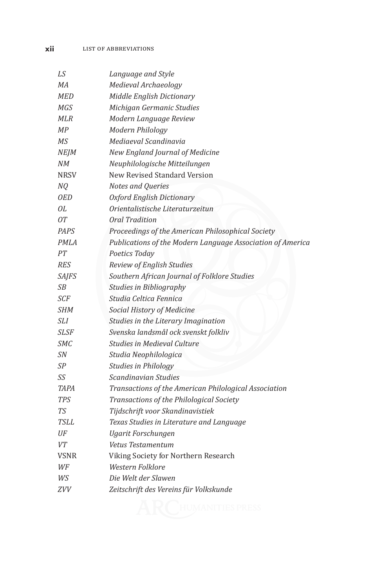| LS           | Language and Style                                         |
|--------------|------------------------------------------------------------|
| ΜA           | Medieval Archaeology                                       |
| MED          | Middle English Dictionary                                  |
| MGS          | Michigan Germanic Studies                                  |
| <b>MLR</b>   | Modern Language Review                                     |
| MP           | Modern Philology                                           |
| МS           | Mediaeval Scandinavia                                      |
| <b>NEJM</b>  | New England Journal of Medicine                            |
| NΜ           | Neuphilologische Mitteilungen                              |
| <b>NRSV</b>  | New Revised Standard Version                               |
| NQ           | <b>Notes and Queries</b>                                   |
| <b>OED</b>   | Oxford English Dictionary                                  |
| OL           | Orientalistische Literaturzeitun                           |
| OТ           | Oral Tradition                                             |
| PAPS         | Proceedings of the American Philosophical Society          |
| PMLA         | Publications of the Modern Language Association of America |
| PT           | Poetics Today                                              |
| <b>RES</b>   | Review of English Studies                                  |
| <b>SAJFS</b> | Southern African Journal of Folklore Studies               |
| SB           | <b>Studies in Bibliography</b>                             |
| <b>SCF</b>   | Studia Celtica Fennica                                     |
| <b>SHM</b>   | Social History of Medicine                                 |
| SLI          | Studies in the Literary Imagination                        |
| <i>SLSF</i>  | Svenska landsmål ock svenskt folkliv                       |
| <b>SMC</b>   | <b>Studies in Medieval Culture</b>                         |
| SN           | Studia Neophilologica                                      |
| SΡ           | <b>Studies in Philology</b>                                |
| SS           | Scandinavian Studies                                       |
| <b>TAPA</b>  | Transactions of the American Philological Association      |
| <b>TPS</b>   | Transactions of the Philological Society                   |
| ТS           | Tijdschrift voor Skandinavistiek                           |
| <b>TSLL</b>  | Texas Studies in Literature and Language                   |
| UF           | Ugarit Forschungen                                         |
| VT           | Vetus Testamentum                                          |
| <b>VSNR</b>  | Viking Society for Northern Research                       |
| WF           | Western Folklore                                           |
| WS           | Die Welt der Slawen                                        |
| <b>ZVV</b>   | Zeitschrift des Vereins für Volkskunde                     |
|              |                                                            |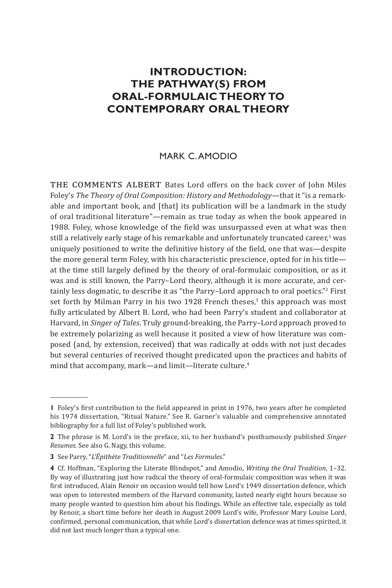#### **INTRODUCTION: THE PATHWAY(S) FROM ORAL-FORMULAIC THEORY TO CONTEMPORARY ORAL THEORY**

#### MARK C. AMODIO

THE COMMENTS ALBERT Bates Lord offers on the back cover of John Miles Foley's *The Theory of Oral Composition: History and Methodology*—that it "is a remarkable and important book, and [that] its publication will be a landmark in the study of oral traditional literature"—remain as true today as when the book appeared in 1988. Foley, whose knowledge of the field was unsurpassed even at what was then still a relatively early stage of his remarkable and unfortunately truncated career,<sup>1</sup> was uniquely positioned to write the definitive history of the field, one that was—despite the more general term Foley, with his characteristic prescience, opted for in his title at the time still largely defined by the theory of oral-formulaic composition, or as it was and is still known, the Parry–Lord theory, although it is more accurate, and certainly less dogmatic, to describe it as "the Parry–Lord approach to oral poetics."<sup>2</sup> First set forth by Milman Parry in his two 1928 French theses,<sup>3</sup> this approach was most fully articulated by Albert B. Lord, who had been Parry's student and collaborator at Harvard, in *Singer of Tales*. Truly ground-breaking, the Parry–Lord approach proved to be extremely polarizing as well because it posited a view of how literature was composed (and, by extension, received) that was radically at odds with not just decades but several centuries of received thought predicated upon the practices and habits of mind that accompany, mark—and limit—literate culture.<sup>4</sup>

**<sup>1</sup>** Foley's first contribution to the field appeared in print in 1976, two years after he completed his 1974 dissertation, "Ritual Nature." See R. Garner's valuable and comprehensive annotated bibliography for a full list of Foley's published work.

**<sup>2</sup>** The phrase is M. Lord's in the preface, xii, to her husband's posthumously published *Singer Resumes*. See also G. Nagy, this volume.

**<sup>3</sup>** See Parry, "*L'Épithète Traditionnelle*" and "*Les Formules*."

**<sup>4</sup>** Cf. Hoffman, "Exploring the Literate Blindspot," and Amodio, *Writing the Oral Tradition*, 1–32. By way of illustrating just how radical the theory of oral-formulaic composition was when it was first introduced, Alain Renoir on occasion would tell how Lord's 1949 dissertation defence, which was open to interested members of the Harvard community, lasted nearly eight hours because so many people wanted to question him about his findings. While an effective tale, especially as told by Renoir, a short time before her death in August 2009 Lord's wife, Professor Mary Louise Lord, confirmed, personal communication, that while Lord's dissertation defence was at times spirited, it did not last much longer than a typical one.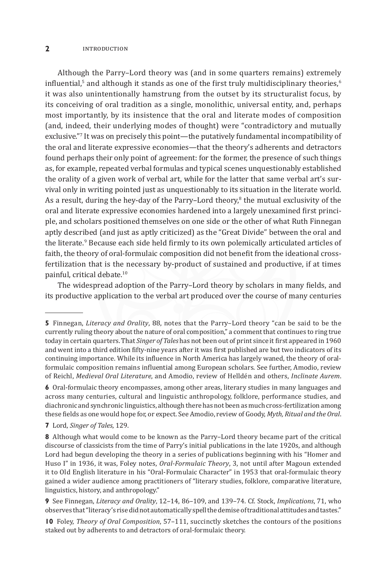Although the Parry–Lord theory was (and in some quarters remains) extremely influential, $^{\circ}$  and although it stands as one of the first truly multidisciplinary theories, $^{\circ}$ it was also unintentionally hamstrung from the outset by its structuralist focus, by its conceiving of oral tradition as a single, monolithic, universal entity, and, perhaps most importantly, by its insistence that the oral and literate modes of composition (and, indeed, their underlying modes of thought) were "contradictory and mutually exclusive."7 It was on precisely this point—the putatively fundamental incompatibility of the oral and literate expressive economies—that the theory's adherents and detractors found perhaps their only point of agreement: for the former, the presence of such things as, for example, repeated verbal formulas and typical scenes unquestionably established the orality of a given work of verbal art, while for the latter that same verbal art's survival only in writing pointed just as unquestionably to its situation in the literate world. As a result, during the hey-day of the Parry–Lord theory,<sup>8</sup> the mutual exclusivity of the oral and literate expressive economies hardened into a largely unexamined first principle, and scholars positioned themselves on one side or the other of what Ruth Finnegan aptly described (and just as aptly criticized) as the "Great Divide" between the oral and the literate. 9 Because each side held firmly to its own polemically articulated articles of faith, the theory of oral-formulaic composition did not benefit from the ideational crossfertilization that is the necessary by-product of sustained and productive, if at times painful, critical debate. 10

The widespread adoption of the Parry–Lord theory by scholars in many fields, and its productive application to the verbal art produced over the course of many centuries

**6** Oral-formulaic theory encompasses, among other areas, literary studies in many languages and across many centuries, cultural and linguistic anthropology, folklore, performance studies, and diachronic and synchronic linguistics, although there has not been as much cross-fertilization among these fields as one would hope for, or expect. See Amodio, review of Goody, *Myth, Ritual and the Oral*.

**7** Lord, *Singer of Tales*, 129.

**<sup>5</sup>** Finnegan, *Literacy and Orality*, 88, notes that the Parry–Lord theory "can be said to be the currently ruling theory about the nature of oral composition," a comment that continues to ring true today in certain quarters. That *Singer of Tales* has not been out of print since it first appeared in 1960 and went into a third edition fifty-nine years after it was first published are but two indicators of its continuing importance. While its influence in North America has largely waned, the theory of oralformulaic composition remains influential among European scholars. See further, Amodio, review of Reichl, *Medieval Oral Literature*, and Amodio, review of Helldén and others, *Inclinate Aurem*.

**<sup>8</sup>** Although what would come to be known as the Parry–Lord theory became part of the critical discourse of classicists from the time of Parry's initial publications in the late 1920s, and although Lord had begun developing the theory in a series of publications beginning with his "Homer and Huso I" in 1936, it was, Foley notes, *Oral-Formulaic Theory*, 3, not until after Magoun extended it to Old English literature in his "Oral-Formulaic Character" in 1953 that oral-formulaic theory gained a wider audience among practitioners of "literary studies, folklore, comparative literature, linguistics, history, and anthropology."

**<sup>9</sup>** See Finnegan, *Literacy and Orality*, 12–14, 86–109, and 139–74. Cf. Stock, *Implications*, 71, who observes that "literacy's rise did not automatically spell the demise of traditional attitudes and tastes."

**<sup>10</sup>** Foley, *Theory of Oral Composition*, 57–111, succinctly sketches the contours of the positions staked out by adherents to and detractors of oral-formulaic theory.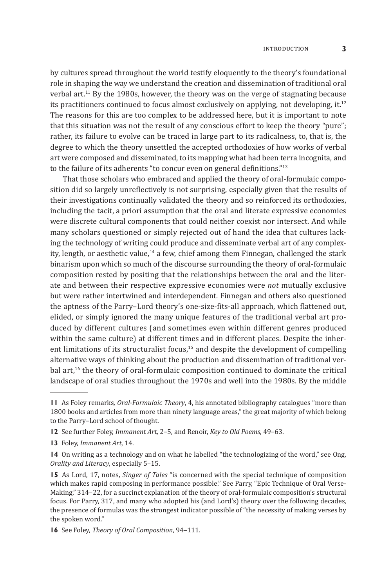by cultures spread throughout the world testify eloquently to the theory's foundational role in shaping the way we understand the creation and dissemination of traditional oral verbal art. <sup>11</sup> By the 1980s, however, the theory was on the verge of stagnating because its practitioners continued to focus almost exclusively on applying, not developing, it.<sup>12</sup> The reasons for this are too complex to be addressed here, but it is important to note that this situation was not the result of any conscious effort to keep the theory "pure"; rather, its failure to evolve can be traced in large part to its radicalness, to, that is, the degree to which the theory unsettled the accepted orthodoxies of how works of verbal art were composed and disseminated, to its mapping what had been terra incognita, and to the failure of its adherents "to concur even on general definitions."<sup>13</sup>

That those scholars who embraced and applied the theory of oral-formulaic composition did so largely unreflectively is not surprising, especially given that the results of their investigations continually validated the theory and so reinforced its orthodoxies, including the tacit, a priori assumption that the oral and literate expressive economies were discrete cultural components that could neither coexist nor intersect. And while many scholars questioned or simply rejected out of hand the idea that cultures lacking the technology of writing could produce and disseminate verbal art of any complexity, length, or aesthetic value, $14$  a few, chief among them Finnegan, challenged the stark binarism upon which so much of the discourse surrounding the theory of oral-formulaic composition rested by positing that the relationships between the oral and the literate and between their respective expressive economies were *not* mutually exclusive but were rather intertwined and interdependent. Finnegan and others also questioned the aptness of the Parry–Lord theory's one-size-fits-all approach, which flattened out, elided, or simply ignored the many unique features of the traditional verbal art produced by different cultures (and sometimes even within different genres produced within the same culture) at different times and in different places. Despite the inherent limitations of its structuralist focus, $15$  and despite the development of compelling alternative ways of thinking about the production and dissemination of traditional verbal art,<sup>16</sup> the theory of oral-formulaic composition continued to dominate the critical landscape of oral studies throughout the 1970s and well into the 1980s. By the middle

**13** Foley, *Immanent Art*, 14.

**<sup>11</sup>** As Foley remarks, *Oral-Formulaic Theory*, 4, his annotated bibliography catalogues "more than 1800 books and articles from more than ninety language areas," the great majority of which belong to the Parry–Lord school of thought.

**<sup>12</sup>** See further Foley, *Immanent Art*, 2–5, and Renoir, *Key to Old Poems*, 49–63.

**<sup>14</sup>** On writing as a technology and on what he labelled "the technologizing of the word," see Ong, *Orality and Literacy*, especially 5–15.

**<sup>15</sup>** As Lord, 17, notes, *Singer of Tales* "is concerned with the special technique of composition which makes rapid composing in performance possible." See Parry, "Epic Technique of Oral Verse-Making," 314–22, for a succinct explanation of the theory of oral-formulaic composition's structural focus. For Parry, 317, and many who adopted his (and Lord's) theory over the following decades, the presence of formulas was the strongest indicator possible of "the necessity of making verses by the spoken word."

**<sup>16</sup>** See Foley, *Theory of Oral Composition*, 94–111.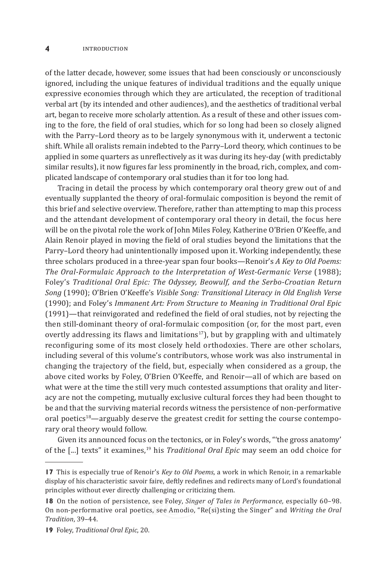of the latter decade, however, some issues that had been consciously or unconsciously ignored, including the unique features of individual traditions and the equally unique expressive economies through which they are articulated, the reception of traditional verbal art (by its intended and other audiences), and the aesthetics of traditional verbal art, began to receive more scholarly attention. As a result of these and other issues coming to the fore, the field of oral studies, which for so long had been so closely aligned with the Parry–Lord theory as to be largely synonymous with it, underwent a tectonic shift. While all oralists remain indebted to the Parry–Lord theory, which continues to be applied in some quarters as unreflectively as it was during its hey-day (with predictably similar results), it now figures far less prominently in the broad, rich, complex, and complicated landscape of contemporary oral studies than it for too long had.

Tracing in detail the process by which contemporary oral theory grew out of and eventually supplanted the theory of oral-formulaic composition is beyond the remit of this brief and selective overview. Therefore, rather than attempting to map this process and the attendant development of contemporary oral theory in detail, the focus here will be on the pivotal role the work of John Miles Foley, Katherine O'Brien O'Keeffe, and Alain Renoir played in moving the field of oral studies beyond the limitations that the Parry–Lord theory had unintentionally imposed upon it. Working independently, these three scholars produced in a three-year span four books—Renoir's *A Key to Old Poems: The Oral-Formulaic Approach to the Interpretation of West-Germanic Verse* (1988); Foley's *Traditional Oral Epic: The Odyssey, Beowulf, and the Serbo-Croatian Return Song* (1990); O'Brien O'Keeffe's *Visible Song: Transitional Literacy in Old English Verse* (1990); and Foley's *Immanent Art: From Structure to Meaning in Traditional Oral Epic* (1991)—that reinvigorated and redefined the field of oral studies, not by rejecting the then still-dominant theory of oral-formulaic composition (or, for the most part, even overtly addressing its flaws and limitations<sup>17</sup>), but by grappling with and ultimately reconfiguring some of its most closely held orthodoxies. There are other scholars, including several of this volume's contributors, whose work was also instrumental in changing the trajectory of the field, but, especially when considered as a group, the above cited works by Foley, O'Brien O'Keeffe, and Renoir—all of which are based on what were at the time the still very much contested assumptions that orality and literacy are not the competing, mutually exclusive cultural forces they had been thought to be and that the surviving material records witness the persistence of non-performative oral poetics<sup>18</sup>—arguably deserve the greatest credit for setting the course contemporary oral theory would follow.

Given its announced focus on the tectonics, or in Foley's words, "'the gross anatomy' of the [...] texts" it examines,<sup>19</sup> his *Traditional Oral Epic* may seem an odd choice for

**<sup>17</sup>** This is especially true of Renoir's *Key to Old Poems*, a work in which Renoir, in a remarkable display of his characteristic savoir faire, deftly redefines and redirects many of Lord's foundational principles without ever directly challenging or criticizing them.

**<sup>18</sup>** On the notion of persistence, see Foley, *Singer of Tales in Performance,* especially 60–98. On non-performative oral poetics, see Amodio, "Re(si)sting the Singer" and *Writing the Oral Tradition*, 39–44.

**<sup>19</sup>** Foley, *Traditional Oral Epic*, 20.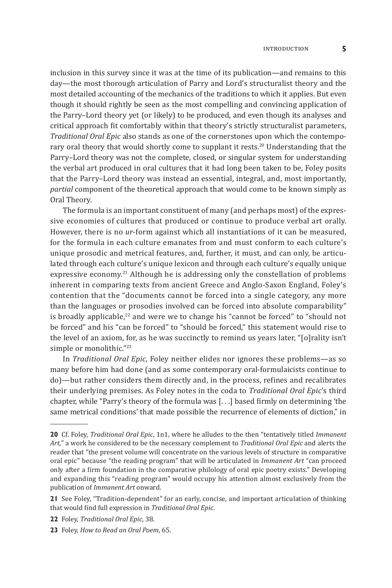inclusion in this survey since it was at the time of its publication—and remains to this day—the most thorough articulation of Parry and Lord's structuralist theory and the most detailed accounting of the mechanics of the traditions to which it applies. But even though it should rightly be seen as the most compelling and convincing application of the Parry–Lord theory yet (or likely) to be produced, and even though its analyses and critical approach fit comfortably within that theory's strictly structuralist parameters, *Traditional Oral Epic* also stands as one of the cornerstones upon which the contemporary oral theory that would shortly come to supplant it rests.<sup>20</sup> Understanding that the Parry–Lord theory was not the complete, closed, or singular system for understanding the verbal art produced in oral cultures that it had long been taken to be, Foley posits that the Parry–Lord theory was instead an essential, integral, and, most importantly, *partial* component of the theoretical approach that would come to be known simply as Oral Theory.

The formula is an important constituent of many (and perhaps most) of the expressive economies of cultures that produced or continue to produce verbal art orally. However, there is no *ur*-form against which all instantiations of it can be measured, for the formula in each culture emanates from and must conform to each culture's unique prosodic and metrical features, and, further, it must, and can only, be articulated through each culture's unique lexicon and through each culture's equally unique expressive economy.<sup>21</sup> Although he is addressing only the constellation of problems inherent in comparing texts from ancient Greece and Anglo-Saxon England, Foley's contention that the "documents cannot be forced into a single category, any more than the languages or prosodies involved can be forced into absolute comparability" is broadly applicable, $^{22}$  and were we to change his "cannot be forced" to "should not be forced" and his "can be forced" to "should be forced," this statement would rise to the level of an axiom, for, as he was succinctly to remind us years later, "[o]rality isn't simple or monolithic."<sup>23</sup>

In *Traditional Oral Epic*, Foley neither elides nor ignores these problems—as so many before him had done (and as some contemporary oral-formulaicists continue to do)—but rather considers them directly and, in the process, refines and recalibrates their underlying premises. As Foley notes in the coda to *Traditional Oral Epic*'s third chapter, while "Parry's theory of the formula was [. . .] based firmly on determining 'the same metrical conditions' that made possible the recurrence of elements of diction," in

**<sup>20</sup>** Cf. Foley, *Traditional Oral Epic*, 1n1, where he alludes to the then "tentatively titled *Immanent Art,*" a work he considered to be the necessary complement to *Traditional Oral Epic* and alerts the reader that "the present volume will concentrate on the various levels of structure in comparative oral epic" because "the reading program" that will be articulated in *Immanent Art* "can proceed only after a firm foundation in the comparative philology of oral epic poetry exists." Developing and expanding this "reading program" would occupy his attention almost exclusively from the publication of *Immanent Art* onward.

**<sup>21</sup>** See Foley, "Tradition-dependent" for an early, concise, and important articulation of thinking that would find full expression in *Traditional Oral Epic*.

**<sup>22</sup>** Foley, *Traditional Oral Epic*, 38.

**<sup>23</sup>** Foley, *How to Read an Oral Poem*, 65.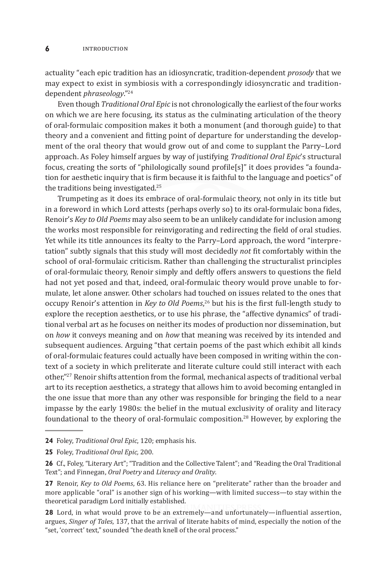actuality "each epic tradition has an idiosyncratic, tradition-dependent *prosody* that we may expect to exist in symbiosis with a correspondingly idiosyncratic and traditiondependent *phraseology*."24

Even though *Traditional Oral Epic* is not chronologically the earliest of the four works on which we are here focusing, its status as the culminating articulation of the theory of oral-formulaic composition makes it both a monument (and thorough guide) to that theory and a convenient and fitting point of departure for understanding the development of the oral theory that would grow out of and come to supplant the Parry–Lord approach. As Foley himself argues by way of justifying *Traditional Oral Epic*'s structural focus, creating the sorts of "philologically sound profile[s]" it does provides "a foundation for aesthetic inquiry that is firm because it is faithful to the language and poetics" of the traditions being investigated. 25

Trumpeting as it does its embrace of oral-formulaic theory, not only in its title but in a foreword in which Lord attests (perhaps overly so) to its oral-formulaic bona fides, Renoir's *Key to Old Poems* may also seem to be an unlikely candidate for inclusion among the works most responsible for reinvigorating and redirecting the field of oral studies. Yet while its title announces its fealty to the Parry–Lord approach, the word "interpretation" subtly signals that this study will most decidedly *not* fit comfortably within the school of oral-formulaic criticism. Rather than challenging the structuralist principles of oral-formulaic theory, Renoir simply and deftly offers answers to questions the field had not yet posed and that, indeed, oral-formulaic theory would prove unable to formulate, let alone answer. Other scholars had touched on issues related to the ones that occupy Renoir's attention in *Key to Old Poems*, 26 but his is the first full-length study to explore the reception aesthetics, or to use his phrase, the "affective dynamics" of traditional verbal art as he focuses on neither its modes of production nor dissemination, but on *how* it conveys meaning and on *how* that meaning was received by its intended and subsequent audiences. Arguing "that certain poems of the past which exhibit all kinds of oral-formulaic features could actually have been composed in writing within the context of a society in which preliterate and literate culture could still interact with each other,"27 Renoir shifts attention from the formal, mechanical aspects of traditional verbal art to its reception aesthetics, a strategy that allows him to avoid becoming entangled in the one issue that more than any other was responsible for bringing the field to a near impasse by the early 1980s: the belief in the mutual exclusivity of orality and literacy foundational to the theory of oral-formulaic composition.28 However, by exploring the

**<sup>24</sup>** Foley, *Traditional Oral Epic*, 120; emphasis his.

**<sup>25</sup>** Foley, *Traditional Oral Epic,* 200.

**<sup>26</sup>** Cf., Foley, "Literary Art"; "Tradition and the Collective Talent"; and "Reading the Oral Traditional Text"; and Finnegan, *Oral Poetry* and *Literacy and Orality*.

**<sup>27</sup>** Renoir, *Key to Old Poems*, 63. His reliance here on "preliterate" rather than the broader and more applicable "oral" is another sign of his working—with limited success—to stay within the theoretical paradigm Lord initially established.

**<sup>28</sup>** Lord, in what would prove to be an extremely—and unfortunately—influential assertion, argues, *Singer of Tales*, 137, that the arrival of literate habits of mind, especially the notion of the "set, 'correct' text," sounded "the death knell of the oral process."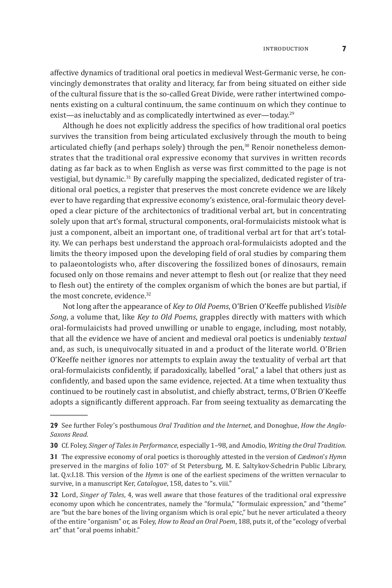affective dynamics of traditional oral poetics in medieval West-Germanic verse, he convincingly demonstrates that orality and literacy, far from being situated on either side of the cultural fissure that is the so-called Great Divide, were rather intertwined components existing on a cultural continuum, the same continuum on which they continue to exist—as ineluctably and as complicatedly intertwined as ever—today.<sup>29</sup>

Although he does not explicitly address the specifics of how traditional oral poetics survives the transition from being articulated exclusively through the mouth to being articulated chiefly (and perhaps solely) through the pen, $30$  Renoir nonetheless demonstrates that the traditional oral expressive economy that survives in written records dating as far back as to when English as verse was first committed to the page is not vestigial, but dynamic.<sup>31</sup> By carefully mapping the specialized, dedicated register of traditional oral poetics, a register that preserves the most concrete evidence we are likely ever to have regarding that expressive economy's existence, oral-formulaic theory developed a clear picture of the architectonics of traditional verbal art, but in concentrating solely upon that art's formal, structural components, oral-formulaicists mistook what is just a component, albeit an important one, of traditional verbal art for that art's totality. We can perhaps best understand the approach oral-formulaicists adopted and the limits the theory imposed upon the developing field of oral studies by comparing them to palaeontologists who, after discovering the fossilized bones of dinosaurs, remain focused only on those remains and never attempt to flesh out (or realize that they need to flesh out) the entirety of the complex organism of which the bones are but partial, if the most concrete, evidence. 32

Not long after the appearance of *Key to Old Poems*, O'Brien O'Keeffe published *Visible Song*, a volume that, like *Key to Old Poems*, grapples directly with matters with which oral-formulaicists had proved unwilling or unable to engage, including, most notably, that all the evidence we have of ancient and medieval oral poetics is undeniably *textual* and, as such, is unequivocally situated in and a product of the literate world. O'Brien O'Keeffe neither ignores nor attempts to explain away the textuality of verbal art that oral-formulaicists confidently, if paradoxically, labelled "oral," a label that others just as confidently, and based upon the same evidence, rejected. At a time when textuality thus continued to be routinely cast in absolutist, and chiefly abstract, terms, O'Brien O'Keeffe adopts a significantly different approach. Far from seeing textuality as demarcating the

**<sup>29</sup>** See further Foley's posthumous *Oral Tradition and the Internet*, and Donoghue, *How the Anglo-Saxons Read*.

**<sup>30</sup>** Cf. Foley, *Singer of Tales in Performance*, especially 1–98, and Amodio, *Writing the Oral Tradition*.

**<sup>31</sup>** The expressive economy of oral poetics is thoroughly attested in the version of *Cædmon*'*s Hymn* preserved in the margins of folio 107<sup>r</sup> of St Petersburg, M. E. Saltykov-Schedrin Public Library, lat. Q.v.I.18. This version of the *Hymn* is one of the earliest specimens of the written vernacular to survive, in a manuscript Ker, *Catalogue*, 158, dates to "s. viii."

**<sup>32</sup>** Lord, *Singer of Tales*, 4, was well aware that those features of the traditional oral expressive economy upon which he concentrates, namely the "formula," "formulaic expression," and "theme" are "but the bare bones of the living organism which is oral epic," but he never articulated a theory of the entire "organism" or, as Foley, *How to Read an Oral Poem*, 188, puts it, of the "ecology of verbal art" that "oral poems inhabit."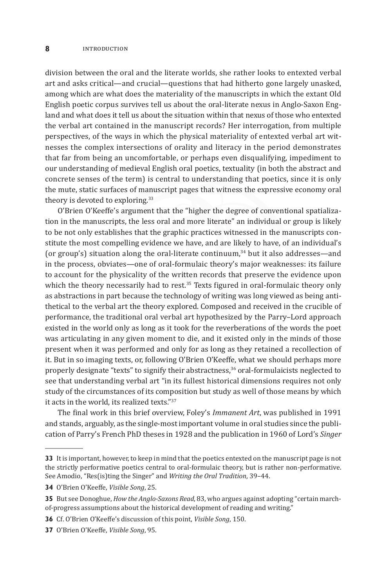division between the oral and the literate worlds, she rather looks to entexted verbal art and asks critical—and crucial—questions that had hitherto gone largely unasked, among which are what does the materiality of the manuscripts in which the extant Old English poetic corpus survives tell us about the oral-literate nexus in Anglo-Saxon England and what does it tell us about the situation within that nexus of those who entexted the verbal art contained in the manuscript records? Her interrogation, from multiple perspectives, of the ways in which the physical materiality of entexted verbal art witnesses the complex intersections of orality and literacy in the period demonstrates that far from being an uncomfortable, or perhaps even disqualifying, impediment to our understanding of medieval English oral poetics, textuality (in both the abstract and concrete senses of the term) is central to understanding that poetics, since it is only the mute, static surfaces of manuscript pages that witness the expressive economy oral theory is devoted to exploring.<sup>33</sup>

O'Brien O'Keeffe's argument that the "higher the degree of conventional spatialization in the manuscripts, the less oral and more literate" an individual or group is likely to be not only establishes that the graphic practices witnessed in the manuscripts constitute the most compelling evidence we have, and are likely to have, of an individual's (or group's) situation along the oral-literate continuum,<sup>34</sup> but it also addresses—and in the process, obviates—one of oral-formulaic theory's major weaknesses: its failure to account for the physicality of the written records that preserve the evidence upon which the theory necessarily had to rest.<sup>35</sup> Texts figured in oral-formulaic theory only as abstractions in part because the technology of writing was long viewed as being antithetical to the verbal art the theory explored. Composed and received in the crucible of performance, the traditional oral verbal art hypothesized by the Parry–Lord approach existed in the world only as long as it took for the reverberations of the words the poet was articulating in any given moment to die, and it existed only in the minds of those present when it was performed and only for as long as they retained a recollection of it. But in so imaging texts, or, following O'Brien O'Keeffe, what we should perhaps more properly designate "texts" to signify their abstractness,<sup>36</sup> oral-formulaicists neglected to see that understanding verbal art "in its fullest historical dimensions requires not only study of the circumstances of its composition but study as well of those means by which it acts in the world, its realized texts."37

The final work in this brief overview, Foley's *Immanent Art*, was published in 1991 and stands, arguably, as the single-most important volume in oral studies since the publication of Parry's French PhD theses in 1928 and the publication in 1960 of Lord's *Singer* 

**<sup>33</sup>** It is important, however, to keep in mind that the poetics entexted on the manuscript page is not the strictly performative poetics central to oral-formulaic theory, but is rather non-performative. See Amodio, "Res(is)ting the Singer" and *Writing the Oral Tradition*, 39–44.

**<sup>34</sup>** O'Brien O'Keeffe, *Visible Song*, 25.

**<sup>35</sup>** But see Donoghue, *How the Anglo-Saxons Read*, 83, who argues against adopting "certain marchof-progress assumptions about the historical development of reading and writing."

**<sup>36</sup>** Cf. O'Brien O'Keeffe's discussion of this point, *Visible Song*, 150.

**<sup>37</sup>** O'Brien O'Keeffe, *Visible Song*, 95.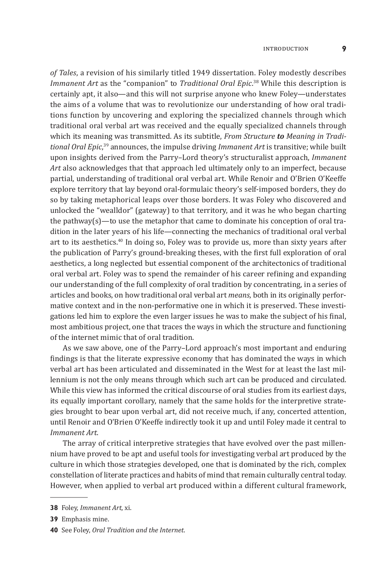*of Tales*, a revision of his similarly titled 1949 dissertation. Foley modestly describes *Immanent Art* as the "companion" to *Traditional Oral Epic*. <sup>38</sup> While this description is certainly apt, it also—and this will not surprise anyone who knew Foley—understates the aims of a volume that was to revolutionize our understanding of how oral traditions function by uncovering and exploring the specialized channels through which traditional oral verbal art was received and the equally specialized channels through which its meaning was transmitted. As its subtitle, *From Structure to Meaning in Traditional Oral Epic*, <sup>39</sup> announces, the impulse driving *Immanent Art* is transitive; while built upon insights derived from the Parry–Lord theory's structuralist approach, *Immanent Art* also acknowledges that that approach led ultimately only to an imperfect, because partial, understanding of traditional oral verbal art. While Renoir and O'Brien O'Keeffe explore territory that lay beyond oral-formulaic theory's self-imposed borders, they do so by taking metaphorical leaps over those borders. It was Foley who discovered and unlocked the "wealldor" (gateway) to that territory, and it was he who began charting the pathway $(s)$ —to use the metaphor that came to dominate his conception of oral tradition in the later years of his life—connecting the mechanics of traditional oral verbal art to its aesthetics. 40 In doing so, Foley was to provide us, more than sixty years after the publication of Parry's ground-breaking theses, with the first full exploration of oral aesthetics, a long neglected but essential component of the architectonics of traditional oral verbal art. Foley was to spend the remainder of his career refining and expanding our understanding of the full complexity of oral tradition by concentrating, in a series of articles and books, on how traditional oral verbal art *means*, both in its originally performative context and in the non-performative one in which it is preserved. These investigations led him to explore the even larger issues he was to make the subject of his final, most ambitious project, one that traces the ways in which the structure and functioning of the internet mimic that of oral tradition.

As we saw above, one of the Parry–Lord approach's most important and enduring findings is that the literate expressive economy that has dominated the ways in which verbal art has been articulated and disseminated in the West for at least the last millennium is not the only means through which such art can be produced and circulated. While this view has informed the critical discourse of oral studies from its earliest days, its equally important corollary, namely that the same holds for the interpretive strategies brought to bear upon verbal art, did not receive much, if any, concerted attention, until Renoir and O'Brien O'Keeffe indirectly took it up and until Foley made it central to *Immanent Art*.

The array of critical interpretive strategies that have evolved over the past millennium have proved to be apt and useful tools for investigating verbal art produced by the culture in which those strategies developed, one that is dominated by the rich, complex constellation of literate practices and habits of mind that remain culturally central today. However, when applied to verbal art produced within a different cultural framework,

**<sup>38</sup>** Foley, *Immanent Art*, xi.

**<sup>39</sup>** Emphasis mine.

**<sup>40</sup>** See Foley, *Oral Tradition and the Internet*.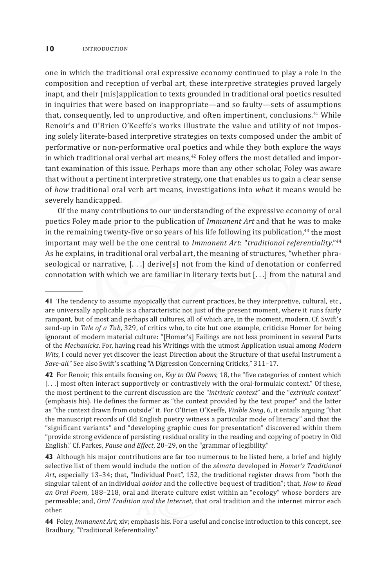one in which the traditional oral expressive economy continued to play a role in the composition and reception of verbal art, these interpretive strategies proved largely inapt, and their (mis)application to texts grounded in traditional oral poetics resulted in inquiries that were based on inappropriate—and so faulty—sets of assumptions that, consequently, led to unproductive, and often impertinent, conclusions.<sup>41</sup> While Renoir's and O'Brien O'Keeffe's works illustrate the value and utility of not imposing solely literate-based interpretive strategies on texts composed under the ambit of performative or non-performative oral poetics and while they both explore the ways in which traditional oral verbal art means, $42$  Foley offers the most detailed and important examination of this issue. Perhaps more than any other scholar, Foley was aware that without a pertinent interpretive strategy, one that enables us to gain a clear sense of *how* traditional oral verb art means, investigations into *what* it means would be severely handicapped.

Of the many contributions to our understanding of the expressive economy of oral poetics Foley made prior to the publication of *Immanent Art* and that he was to make in the remaining twenty-five or so years of his life following its publication, $43$  the most important may well be the one central to *Immanent Art*: "*traditional referentiality*."44 As he explains, in traditional oral verbal art, the meaning of structures, "whether phraseological or narrative, [. . .] derive[s] not from the kind of denotation or conferred connotation with which we are familiar in literary texts but [. . .] from the natural and

**<sup>41</sup>** The tendency to assume myopically that current practices, be they interpretive, cultural, etc., are universally applicable is a characteristic not just of the present moment, where it runs fairly rampant, but of most and perhaps all cultures, all of which are, in the moment, modern. Cf. Swift's send-up in *Tale of a Tub*, 329, of critics who, to cite but one example, criticise Homer for being ignorant of modern material culture: "[Homer's] Failings are not less prominent in several Parts of the *Mechanicks*. For, having read his Writings with the utmost Application usual among *Modern Wits*, I could never yet discover the least Direction about the Structure of that useful Instrument a *Save-all*." See also Swift's scathing "A Digression Concerning Criticks," 311–17.

**<sup>42</sup>** For Renoir, this entails focusing on, *Key to Old Poems*, 18, the "five categories of context which [...] most often interact supportively or contrastively with the oral-formulaic context." Of these, the most pertinent to the current discussion are the "*intrinsic context*" and the "*extrinsic context*" (emphasis his). He defines the former as "the context provided by the text proper" and the latter as "the context drawn from outside" it. For O'Brien O'Keeffe, *Visible Song*, 6, it entails arguing "that the manuscript records of Old English poetry witness a particular mode of literacy" and that the "significant variants" and "developing graphic cues for presentation" discovered within them "provide strong evidence of persisting residual orality in the reading and copying of poetry in Old English." Cf. Parkes, *Pause and Effect*, 20–29, on the "grammar of legibility."

**<sup>43</sup>** Although his major contributions are far too numerous to be listed here, a brief and highly selective list of them would include the notion of the *sêmata* developed in *Homer's Traditional Art*, especially 13–34; that, "Individual Poet", 152, the traditional register draws from "both the singular talent of an individual *aoidos* and the collective bequest of tradition"; that, *How to Read an Oral Poem*, 188–218, oral and literate culture exist within an "ecology" whose borders are permeable; and, *Oral Tradition and the Internet*, that oral tradition and the internet mirror each other.

**<sup>44</sup>** Foley, *Immanent Art*, xiv; emphasis his. For a useful and concise introduction to this concept, see Bradbury, "Traditional Referentiality."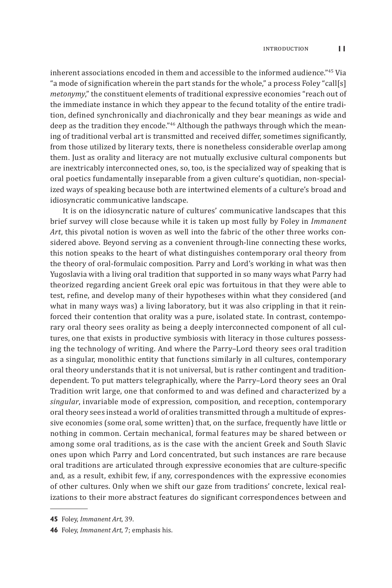inherent associations encoded in them and accessible to the informed audience."45 Via "a mode of signification wherein the part stands for the whole," a process Foley "call[s] *metonymy*," the constituent elements of traditional expressive economies "reach out of the immediate instance in which they appear to the fecund totality of the entire tradition, defined synchronically and diachronically and they bear meanings as wide and deep as the tradition they encode."<sup>46</sup> Although the pathways through which the meaning of traditional verbal art is transmitted and received differ, sometimes significantly, from those utilized by literary texts, there is nonetheless considerable overlap among them. Just as orality and literacy are not mutually exclusive cultural components but are inextricably interconnected ones, so, too, is the specialized way of speaking that is oral poetics fundamentally inseparable from a given culture's quotidian, non-specialized ways of speaking because both are intertwined elements of a culture's broad and idiosyncratic communicative landscape.

It is on the idiosyncratic nature of cultures' communicative landscapes that this brief survey will close because while it is taken up most fully by Foley in *Immanent Art*, this pivotal notion is woven as well into the fabric of the other three works considered above. Beyond serving as a convenient through-line connecting these works, this notion speaks to the heart of what distinguishes contemporary oral theory from the theory of oral-formulaic composition. Parry and Lord's working in what was then Yugoslavia with a living oral tradition that supported in so many ways what Parry had theorized regarding ancient Greek oral epic was fortuitous in that they were able to test, refine, and develop many of their hypotheses within what they considered (and what in many ways was) a living laboratory, but it was also crippling in that it reinforced their contention that orality was a pure, isolated state. In contrast, contemporary oral theory sees orality as being a deeply interconnected component of all cultures, one that exists in productive symbiosis with literacy in those cultures possessing the technology of writing. And where the Parry–Lord theory sees oral tradition as a singular, monolithic entity that functions similarly in all cultures, contemporary oral theory understands that it is not universal, but is rather contingent and traditiondependent. To put matters telegraphically, where the Parry–Lord theory sees an Oral Tradition writ large, one that conformed to and was defined and characterized by a *singular*, invariable mode of expression, composition, and reception, contemporary oral theory sees instead a world of oralities transmitted through a multitude of expressive economies (some oral, some written) that, on the surface, frequently have little or nothing in common. Certain mechanical, formal features may be shared between or among some oral traditions, as is the case with the ancient Greek and South Slavic ones upon which Parry and Lord concentrated, but such instances are rare because oral traditions are articulated through expressive economies that are culture-specific and, as a result, exhibit few, if any, correspondences with the expressive economies of other cultures. Only when we shift our gaze from traditions' concrete, lexical realizations to their more abstract features do significant correspondences between and

**<sup>45</sup>** Foley, *Immanent Art*, 39.

**<sup>46</sup>** Foley, *Immanent Art*, 7; emphasis his.